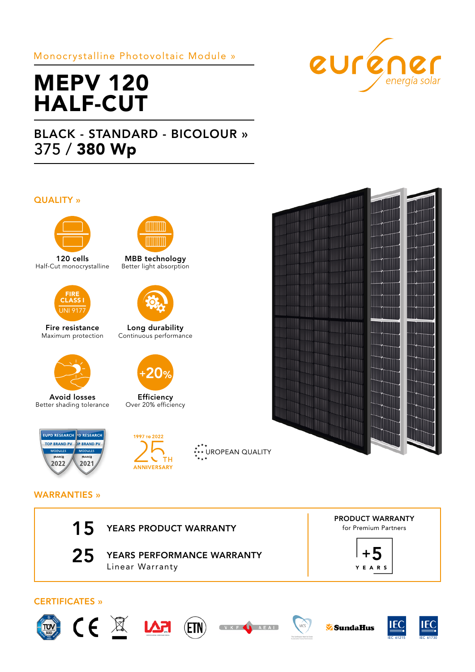# Monocrystalline Photovoltaic Module »



# MEPV 120 HALF-CUT

# BLACK - STANDARD - BICOLOUR » 375 / 380 Wp

## QUALITY »



120 cells Half-Cut monocrystalline



Fire resistance Maximum protection



Avoid losses Better shading tolerance



MBB technology Better light absorption



Long durability Continuous performance



**Efficiency** Over 20% efficiency



# 1997 то 2022  $\overline{C}$  TH ANNIVERSARY





## WARRANTIES »